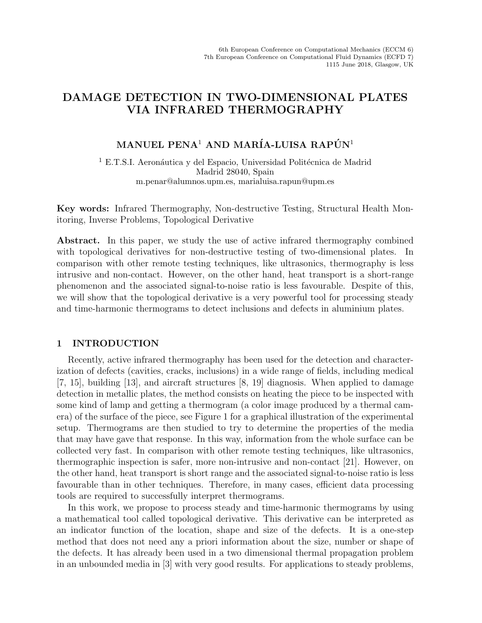# DAMAGE DETECTION IN TWO-DIMENSIONAL PLATES VIA INFRARED THERMOGRAPHY

## MANUEL PENA<sup>1</sup> AND MARÍA-LUISA RAPÚN<sup>1</sup>

<sup>1</sup> E.T.S.I. Aeronáutica y del Espacio, Universidad Politécnica de Madrid Madrid 28040, Spain m.penar@alumnos.upm.es, marialuisa.rapun@upm.es

Key words: Infrared Thermography, Non-destructive Testing, Structural Health Monitoring, Inverse Problems, Topological Derivative

Abstract. In this paper, we study the use of active infrared thermography combined with topological derivatives for non-destructive testing of two-dimensional plates. In comparison with other remote testing techniques, like ultrasonics, thermography is less intrusive and non-contact. However, on the other hand, heat transport is a short-range phenomenon and the associated signal-to-noise ratio is less favourable. Despite of this, we will show that the topological derivative is a very powerful tool for processing steady and time-harmonic thermograms to detect inclusions and defects in aluminium plates.

## 1 INTRODUCTION

Recently, active infrared thermography has been used for the detection and characterization of defects (cavities, cracks, inclusions) in a wide range of fields, including medical [7, 15], building [13], and aircraft structures [8, 19] diagnosis. When applied to damage detection in metallic plates, the method consists on heating the piece to be inspected with some kind of lamp and getting a thermogram (a color image produced by a thermal camera) of the surface of the piece, see Figure 1 for a graphical illustration of the experimental setup. Thermograms are then studied to try to determine the properties of the media that may have gave that response. In this way, information from the whole surface can be collected very fast. In comparison with other remote testing techniques, like ultrasonics, thermographic inspection is safer, more non-intrusive and non-contact [21]. However, on the other hand, heat transport is short range and the associated signal-to-noise ratio is less favourable than in other techniques. Therefore, in many cases, efficient data processing tools are required to successfully interpret thermograms.

In this work, we propose to process steady and time-harmonic thermograms by using a mathematical tool called topological derivative. This derivative can be interpreted as an indicator function of the location, shape and size of the defects. It is a one-step method that does not need any a priori information about the size, number or shape of the defects. It has already been used in a two dimensional thermal propagation problem in an unbounded media in [3] with very good results. For applications to steady problems,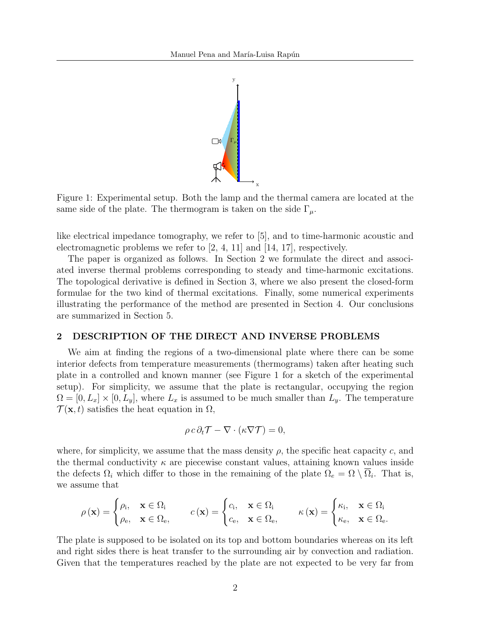

Figure 1: Experimental setup. Both the lamp and the thermal camera are located at the same side of the plate. The thermogram is taken on the side  $\Gamma_{\mu}$ .

like electrical impedance tomography, we refer to [5], and to time-harmonic acoustic and electromagnetic problems we refer to [2, 4, 11] and [14, 17], respectively.

The paper is organized as follows. In Section 2 we formulate the direct and associated inverse thermal problems corresponding to steady and time-harmonic excitations. The topological derivative is defined in Section 3, where we also present the closed-form formulae for the two kind of thermal excitations. Finally, some numerical experiments illustrating the performance of the method are presented in Section 4. Our conclusions are summarized in Section 5.

#### 2 DESCRIPTION OF THE DIRECT AND INVERSE PROBLEMS

We aim at finding the regions of a two-dimensional plate where there can be some interior defects from temperature measurements (thermograms) taken after heating such plate in a controlled and known manner (see Figure 1 for a sketch of the experimental setup). For simplicity, we assume that the plate is rectangular, occupying the region  $\Omega = [0, L_x] \times [0, L_y]$ , where  $L_x$  is assumed to be much smaller than  $L_y$ . The temperature  $\mathcal{T}(\mathbf{x}, t)$  satisfies the heat equation in  $\Omega$ ,

$$
\rho c \partial_t \mathcal{T} - \nabla \cdot (\kappa \nabla \mathcal{T}) = 0,
$$

where, for simplicity, we assume that the mass density  $\rho$ , the specific heat capacity c, and the thermal conductivity  $\kappa$  are piecewise constant values, attaining known values inside the defects  $\Omega_i$  which differ to those in the remaining of the plate  $\Omega_e = \Omega \setminus \Omega_i$ . That is, we assume that

$$
\rho(\mathbf{x}) = \begin{cases} \rho_i, & \mathbf{x} \in \Omega_i \\ \rho_e, & \mathbf{x} \in \Omega_e, \end{cases} \qquad c(\mathbf{x}) = \begin{cases} c_i, & \mathbf{x} \in \Omega_i \\ c_e, & \mathbf{x} \in \Omega_e, \end{cases} \qquad \kappa(\mathbf{x}) = \begin{cases} \kappa_i, & \mathbf{x} \in \Omega_i \\ \kappa_e, & \mathbf{x} \in \Omega_e. \end{cases}
$$

The plate is supposed to be isolated on its top and bottom boundaries whereas on its left and right sides there is heat transfer to the surrounding air by convection and radiation. Given that the temperatures reached by the plate are not expected to be very far from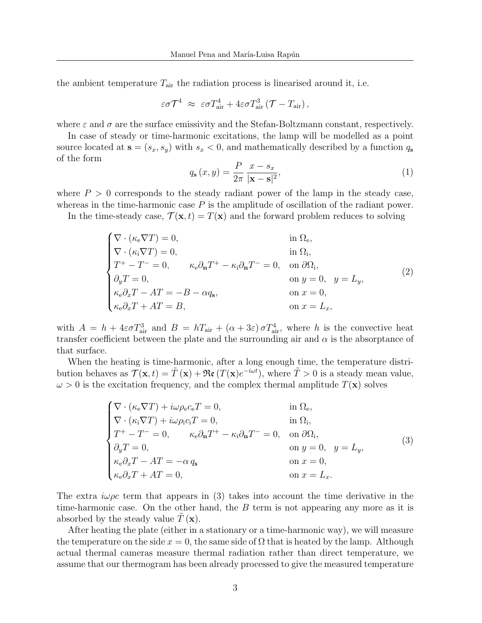the ambient temperature  $T_{\text{air}}$  the radiation process is linearised around it, i.e.

$$
\varepsilon \sigma \mathcal{T}^4 \; \approx \; \varepsilon \sigma T_{\rm air}^4 + 4 \varepsilon \sigma T_{\rm air}^3 \left( \mathcal{T} - T_{\rm air} \right),
$$

where  $\varepsilon$  and  $\sigma$  are the surface emissivity and the Stefan-Boltzmann constant, respectively.

In case of steady or time-harmonic excitations, the lamp will be modelled as a point source located at  $\mathbf{s} = (s_x, s_y)$  with  $s_x < 0$ , and mathematically described by a function  $q_s$ of the form

$$
q_{\mathbf{s}}(x,y) = \frac{P}{2\pi} \frac{x - s_x}{|\mathbf{x} - \mathbf{s}|^2},\tag{1}
$$

where  $P > 0$  corresponds to the steady radiant power of the lamp in the steady case, whereas in the time-harmonic case  $P$  is the amplitude of oscillation of the radiant power.

In the time-steady case,  $\mathcal{T}(\mathbf{x},t) = T(\mathbf{x})$  and the forward problem reduces to solving

$$
\begin{cases}\n\nabla \cdot (\kappa_{\rm e} \nabla T) = 0, & \text{in } \Omega_{\rm e}, \\
\nabla \cdot (\kappa_{\rm i} \nabla T) = 0, & \text{in } \Omega_{\rm i}, \\
T^{+} - T^{-} = 0, & \kappa_{\rm e} \partial_{\rm n} T^{+} - \kappa_{\rm i} \partial_{\rm n} T^{-} = 0, & \text{on } \partial \Omega_{\rm i}, \\
\partial_{y} T = 0, & \text{on } y = 0, \quad y = L_{y}, \\
\kappa_{\rm e} \partial_{x} T - A T = -B - \alpha q_{\rm s}, & \text{on } x = 0, \\
\kappa_{\rm e} \partial_{x} T + A T = B, & \text{on } x = L_{x},\n\end{cases}
$$
\n(2)

with  $A = h + 4\varepsilon \sigma T_{\text{air}}^3$  and  $B = hT_{\text{air}} + (\alpha + 3\varepsilon) \sigma T_{\text{air}}^4$ , where h is the convective heat transfer coefficient between the plate and the surrounding air and  $\alpha$  is the absorptance of that surface.

When the heating is time-harmonic, after a long enough time, the temperature distribution behaves as  $\mathcal{T}(\mathbf{x}, t) = \tilde{T}(\mathbf{x}) + \mathfrak{Re}(T(\mathbf{x})e^{-i\omega t})$ , where  $\tilde{T} > 0$  is a steady mean value,  $\omega > 0$  is the excitation frequency, and the complex thermal amplitude  $T(\mathbf{x})$  solves

$$
\begin{cases}\n\nabla \cdot (\kappa_{\rm e} \nabla T) + i\omega \rho_{\rm e} c_{\rm e} T = 0, & \text{in } \Omega_{\rm e}, \\
\nabla \cdot (\kappa_{\rm i} \nabla T) + i\omega \rho_{\rm i} c_{\rm i} T = 0, & \text{in } \Omega_{\rm i}, \\
T^+ - T^- = 0, & \kappa_{\rm e} \partial_{\rm n} T^+ - \kappa_{\rm i} \partial_{\rm n} T^- = 0, & \text{on } \partial \Omega_{\rm i}, \\
\partial_y T = 0, & \text{on } y = 0, \quad y = L_y, \\
\kappa_{\rm e} \partial_x T - AT = -\alpha q_{\rm s} & \text{on } x = 0, \\
\kappa_{\rm e} \partial_x T + AT = 0, & \text{on } x = L_x.\n\end{cases}
$$
\n(3)

The extra  $\omega \rho c$  term that appears in (3) takes into account the time derivative in the time-harmonic case. On the other hand, the  $B$  term is not appearing any more as it is absorbed by the steady value  $T(\mathbf{x})$ .

After heating the plate (either in a stationary or a time-harmonic way), we will measure the temperature on the side  $x = 0$ , the same side of  $\Omega$  that is heated by the lamp. Although actual thermal cameras measure thermal radiation rather than direct temperature, we assume that our thermogram has been already processed to give the measured temperature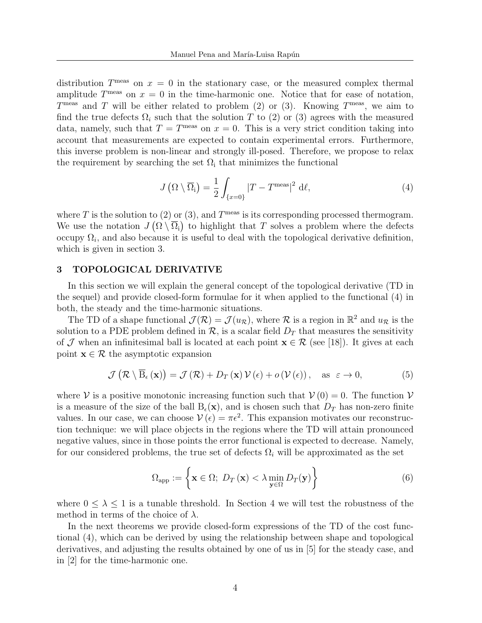distribution  $T^{\text{meas}}$  on  $x = 0$  in the stationary case, or the measured complex thermal amplitude  $T^{\text{meas}}$  on  $x = 0$  in the time-harmonic one. Notice that for ease of notation,  $T^{\text{meas}}$  and T will be either related to problem (2) or (3). Knowing  $T^{\text{meas}}$ , we aim to find the true defects  $\Omega_i$  such that the solution T to (2) or (3) agrees with the measured data, namely, such that  $T = T^{\text{meas}}$  on  $x = 0$ . This is a very strict condition taking into account that measurements are expected to contain experimental errors. Furthermore, this inverse problem is non-linear and strongly ill-posed. Therefore, we propose to relax the requirement by searching the set  $\Omega_i$  that minimizes the functional

$$
J\left(\Omega\setminus\overline{\Omega}_{i}\right)=\frac{1}{2}\int_{\{x=0\}}|T-T^{\text{meas}}|^{2} d\ell,
$$
\n(4)

where T is the solution to (2) or (3), and  $T^{\text{meas}}$  is its corresponding processed thermogram. We use the notation  $J(\Omega \setminus \overline{\Omega}_i)$  to highlight that T solves a problem where the defects occupy  $\Omega_i$ , and also because it is useful to deal with the topological derivative definition, which is given in section 3.

#### 3 TOPOLOGICAL DERIVATIVE

In this section we will explain the general concept of the topological derivative (TD in the sequel) and provide closed-form formulae for it when applied to the functional (4) in both, the steady and the time-harmonic situations.

The TD of a shape functional  $\mathcal{J}(\mathcal{R}) = \mathcal{J}(u_{\mathcal{R}})$ , where  $\mathcal{R}$  is a region in  $\mathbb{R}^2$  and  $u_{\mathcal{R}}$  is the solution to a PDE problem defined in  $\mathcal{R}$ , is a scalar field  $D_T$  that measures the sensitivity of J when an infinitesimal ball is located at each point  $\mathbf{x} \in \mathcal{R}$  (see [18]). It gives at each point  $\mathbf{x} \in \mathcal{R}$  the asymptotic expansion

$$
\mathcal{J}\left(\mathcal{R}\setminus\overline{\mathrm{B}}_{\epsilon}\left(\mathbf{x}\right)\right)=\mathcal{J}\left(\mathcal{R}\right)+D_{T}\left(\mathbf{x}\right)\mathcal{V}\left(\epsilon\right)+o\left(\mathcal{V}\left(\epsilon\right)\right), \quad \mathrm{as}\ \ \varepsilon\to 0,\tag{5}
$$

where V is a positive monotonic increasing function such that  $V(0) = 0$ . The function V is a measure of the size of the ball  $B_{\epsilon}(\mathbf{x})$ , and is chosen such that  $D_T$  has non-zero finite values. In our case, we can choose  $V(\epsilon) = \pi \epsilon^2$ . This expansion motivates our reconstruction technique: we will place objects in the regions where the TD will attain pronounced negative values, since in those points the error functional is expected to decrease. Namely, for our considered problems, the true set of defects  $\Omega_i$  will be approximated as the set

$$
\Omega_{\text{app}} := \left\{ \mathbf{x} \in \Omega; \ D_T(\mathbf{x}) < \lambda \min_{\mathbf{y} \in \Omega} D_T(\mathbf{y}) \right\} \tag{6}
$$

where  $0 \leq \lambda \leq 1$  is a tunable threshold. In Section 4 we will test the robustness of the method in terms of the choice of  $\lambda$ .

In the next theorems we provide closed-form expressions of the TD of the cost functional (4), which can be derived by using the relationship between shape and topological derivatives, and adjusting the results obtained by one of us in [5] for the steady case, and in [2] for the time-harmonic one.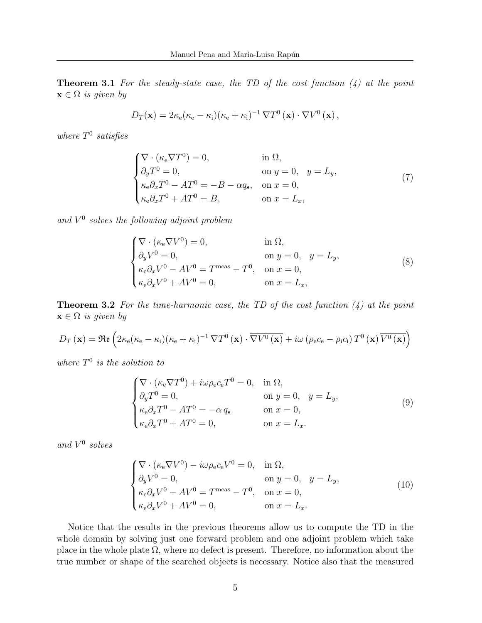**Theorem 3.1** For the steady-state case, the TD of the cost function  $(4)$  at the point  $\mathbf{x} \in \Omega$  is given by

$$
D_T(\mathbf{x}) = 2\kappa_e(\kappa_e - \kappa_i)(\kappa_e + \kappa_i)^{-1} \nabla T^0(\mathbf{x}) \cdot \nabla V^0(\mathbf{x}),
$$

where  $T^0$  satisfies

$$
\begin{cases}\n\nabla \cdot (\kappa_{\rm e} \nabla T^{0}) = 0, & \text{in } \Omega, \\
\partial_{y} T^{0} = 0, & \text{on } y = 0, \quad y = L_{y}, \\
\kappa_{\rm e} \partial_{x} T^{0} - A T^{0} = -B - \alpha q_{\rm s}, & \text{on } x = 0, \\
\kappa_{\rm e} \partial_{x} T^{0} + A T^{0} = B, & \text{on } x = L_{x},\n\end{cases}
$$
\n(7)

and  $V^0$  solves the following adjoint problem

$$
\begin{cases}\n\nabla \cdot (\kappa_{\rm e} \nabla V^{0}) = 0, & \text{in } \Omega, \\
\partial_{y} V^{0} = 0, & \text{on } y = 0, \quad y = L_{y}, \\
\kappa_{\rm e} \partial_{x} V^{0} - A V^{0} = T^{\text{meas}} - T^{0}, & \text{on } x = 0, \\
\kappa_{\rm e} \partial_{x} V^{0} + A V^{0} = 0, & \text{on } x = L_{x},\n\end{cases}
$$
\n(8)

**Theorem 3.2** For the time-harmonic case, the TD of the cost function  $(4)$  at the point  $\mathbf{x} \in \Omega$  is given by

$$
D_T(\mathbf{x}) = \Re\mathbf{e}\left(2\kappa_e(\kappa_e - \kappa_i)(\kappa_e + \kappa_i)^{-1}\nabla T^0(\mathbf{x})\cdot\overline{\nabla V^0(\mathbf{x})} + i\omega\left(\rho_e c_e - \rho_i c_i\right)T^0(\mathbf{x})\overline{V^0(\mathbf{x})}\right)
$$

where  $T^0$  is the solution to

$$
\begin{cases}\n\nabla \cdot (\kappa_{\rm e} \nabla T^{0}) + i\omega \rho_{\rm e} c_{\rm e} T^{0} = 0, & \text{in } \Omega, \\
\partial_{y} T^{0} = 0, & \text{on } y = 0, \quad y = L_{y}, \\
\kappa_{\rm e} \partial_{x} T^{0} - A T^{0} = -\alpha q_{\rm s} & \text{on } x = 0, \\
\kappa_{\rm e} \partial_{x} T^{0} + A T^{0} = 0, & \text{on } x = L_{x}.\n\end{cases}
$$
\n(9)

and  $V^0$  solves

$$
\begin{cases}\n\nabla \cdot (\kappa_{\rm e} \nabla V^{0}) - i\omega \rho_{\rm e} c_{\rm e} V^{0} = 0, & \text{in } \Omega, \\
\partial_{y} V^{0} = 0, & \text{on } y = 0, \quad y = L_{y}, \\
\kappa_{\rm e} \partial_{x} V^{0} - A V^{0} = T^{\text{meas}} - T^{0}, & \text{on } x = 0, \\
\kappa_{\rm e} \partial_{x} V^{0} + A V^{0} = 0, & \text{on } x = L_{x}.\n\end{cases}
$$
\n(10)

Notice that the results in the previous theorems allow us to compute the TD in the whole domain by solving just one forward problem and one adjoint problem which take place in the whole plate  $\Omega$ , where no defect is present. Therefore, no information about the true number or shape of the searched objects is necessary. Notice also that the measured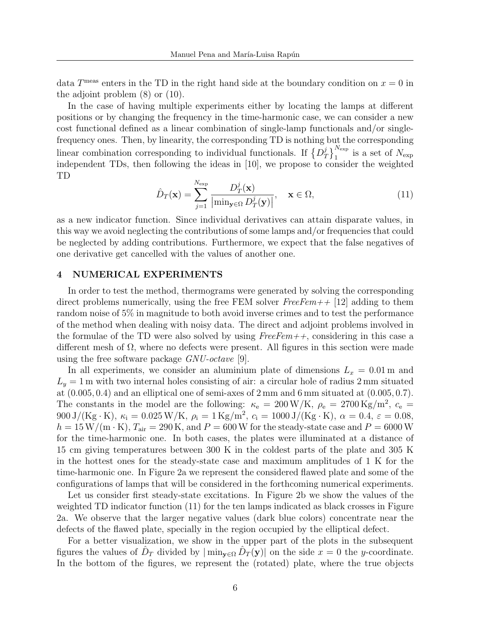data  $T^{\text{meas}}$  enters in the TD in the right hand side at the boundary condition on  $x = 0$  in the adjoint problem (8) or (10).

In the case of having multiple experiments either by locating the lamps at different positions or by changing the frequency in the time-harmonic case, we can consider a new cost functional defined as a linear combination of single-lamp functionals and/or singlefrequency ones. Then, by linearity, the corresponding TD is nothing but the corresponding linear combination corresponding to individual functionals. If  $\{D_7^j\}$  $\left\{ \frac{j}{T} \right\}$ <sup>Nexp</sup> is a set of N<sub>exp</sub> independent TDs, then following the ideas in [10], we propose to consider the weighted TD

$$
\hat{D}_T(\mathbf{x}) = \sum_{j=1}^{N_{\text{exp}}} \frac{D_T^j(\mathbf{x})}{\left| \min_{\mathbf{y} \in \Omega} D_T^j(\mathbf{y}) \right|}, \quad \mathbf{x} \in \Omega,
$$
\n(11)

as a new indicator function. Since individual derivatives can attain disparate values, in this way we avoid neglecting the contributions of some lamps and/or frequencies that could be neglected by adding contributions. Furthermore, we expect that the false negatives of one derivative get cancelled with the values of another one.

## 4 NUMERICAL EXPERIMENTS

In order to test the method, thermograms were generated by solving the corresponding direct problems numerically, using the free FEM solver  $FreeFem++$  [12] adding to them random noise of 5% in magnitude to both avoid inverse crimes and to test the performance of the method when dealing with noisy data. The direct and adjoint problems involved in the formulae of the TD were also solved by using  $FreeFem++$ , considering in this case a different mesh of  $\Omega$ , where no defects were present. All figures in this section were made using the free software package GNU-octave [9].

In all experiments, we consider an aluminium plate of dimensions  $L_x = 0.01$  m and  $L_y = 1$  m with two internal holes consisting of air: a circular hole of radius 2 mm situated at  $(0.005, 0.4)$  and an elliptical one of semi-axes of  $2 \text{ mm}$  and  $6 \text{ mm}$  situated at  $(0.005, 0.7)$ . The constants in the model are the following:  $\kappa_e = 200 \,\mathrm{W/K}$ ,  $\rho_e = 2700 \,\mathrm{Kg/m^2}$ ,  $c_e =$ 900 J/(Kg·K),  $\kappa_i = 0.025 \,\text{W/K}$ ,  $\rho_i = 1 \,\text{Kg/m}^2$ ,  $c_i = 1000 \,\text{J/(Kg·K)}$ ,  $\alpha = 0.4$ ,  $\varepsilon = 0.08$ ,  $h = 15 \,\mathrm{W/(m \cdot K)}, T_{\text{air}} = 290 \,\mathrm{K}, \text{and } P = 600 \,\mathrm{W}$  for the steady-state case and  $P = 6000 \,\mathrm{W}$ for the time-harmonic one. In both cases, the plates were illuminated at a distance of 15 cm giving temperatures between 300 K in the coldest parts of the plate and 305 K in the hottest ones for the steady-state case and maximum amplitudes of 1 K for the time-harmonic one. In Figure 2a we represent the considered flawed plate and some of the configurations of lamps that will be considered in the forthcoming numerical experiments.

Let us consider first steady-state excitations. In Figure 2b we show the values of the weighted TD indicator function (11) for the ten lamps indicated as black crosses in Figure 2a. We observe that the larger negative values (dark blue colors) concentrate near the defects of the flawed plate, specially in the region occupied by the elliptical defect.

For a better visualization, we show in the upper part of the plots in the subsequent figures the values of  $\hat{D}_T$  divided by  $|\min_{\mathbf{y}\in\Omega} \hat{D}_T(\mathbf{y})|$  on the side  $x=0$  the y-coordinate. In the bottom of the figures, we represent the (rotated) plate, where the true objects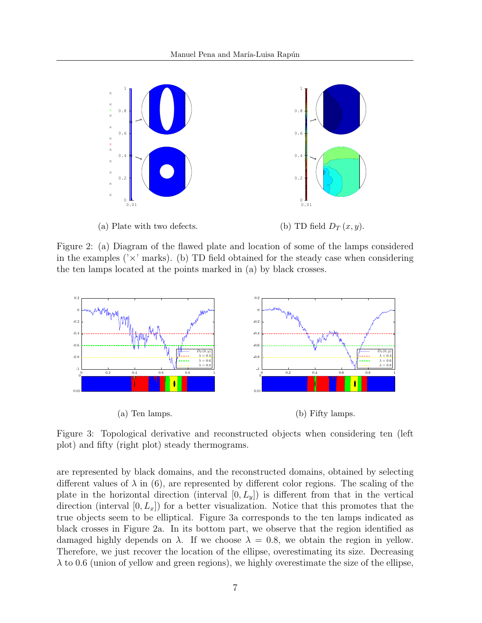

Figure 2: (a) Diagram of the flawed plate and location of some of the lamps considered in the examples ( $\chi$  marks). (b) TD field obtained for the steady case when considering the ten lamps located at the points marked in (a) by black crosses.



Figure 3: Topological derivative and reconstructed objects when considering ten (left plot) and fifty (right plot) steady thermograms.

are represented by black domains, and the reconstructed domains, obtained by selecting different values of  $\lambda$  in (6), are represented by different color regions. The scaling of the plate in the horizontal direction (interval  $[0, L_y]$ ) is different from that in the vertical direction (interval  $[0, L_x]$ ) for a better visualization. Notice that this promotes that the true objects seem to be elliptical. Figure 3a corresponds to the ten lamps indicated as black crosses in Figure 2a. In its bottom part, we observe that the region identified as damaged highly depends on  $\lambda$ . If we choose  $\lambda = 0.8$ , we obtain the region in yellow. Therefore, we just recover the location of the ellipse, overestimating its size. Decreasing  $\lambda$  to 0.6 (union of yellow and green regions), we highly overestimate the size of the ellipse,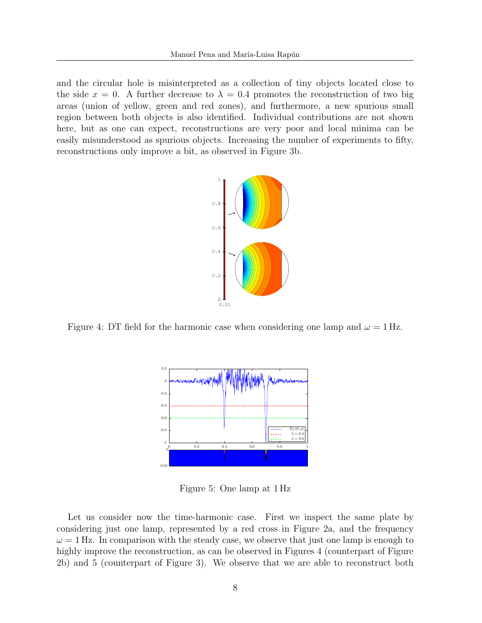and the circular hole is misinterpreted as a collection of tiny objects located close to the side  $x = 0$ . A further decrease to  $\lambda = 0.4$  promotes the reconstruction of two big areas (union of yellow, green and red zones), and furthermore, a new spurious small region between both objects is also identified. Individual contributions are not shown here, but as one can expect, reconstructions are very poor and local minima can be easily misunderstood as spurious objects. Increasing the number of experiments to fifty, reconstructions only improve a bit, as observed in Figure 3b.



Figure 4: DT field for the harmonic case when considering one lamp and  $\omega = 1$  Hz.



Figure 5: One lamp at 1 Hz

Let us consider now the time-harmonic case. First we inspect the same plate by considering just one lamp, represented by a red cross in Figure 2a, and the frequency  $\omega = 1$  Hz. In comparison with the steady case, we observe that just one lamp is enough to highly improve the reconstruction, as can be observed in Figures 4 (counterpart of Figure 2b) and 5 (counterpart of Figure 3). We observe that we are able to reconstruct both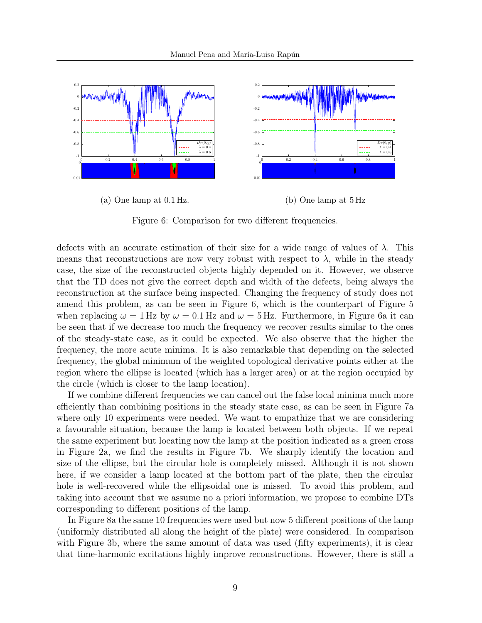

Figure 6: Comparison for two different frequencies.

defects with an accurate estimation of their size for a wide range of values of  $\lambda$ . This means that reconstructions are now very robust with respect to  $\lambda$ , while in the steady case, the size of the reconstructed objects highly depended on it. However, we observe that the TD does not give the correct depth and width of the defects, being always the reconstruction at the surface being inspected. Changing the frequency of study does not amend this problem, as can be seen in Figure 6, which is the counterpart of Figure 5 when replacing  $\omega = 1$  Hz by  $\omega = 0.1$  Hz and  $\omega = 5$  Hz. Furthermore, in Figure 6a it can be seen that if we decrease too much the frequency we recover results similar to the ones of the steady-state case, as it could be expected. We also observe that the higher the frequency, the more acute minima. It is also remarkable that depending on the selected frequency, the global minimum of the weighted topological derivative points either at the region where the ellipse is located (which has a larger area) or at the region occupied by the circle (which is closer to the lamp location).

If we combine different frequencies we can cancel out the false local minima much more efficiently than combining positions in the steady state case, as can be seen in Figure 7a where only 10 experiments were needed. We want to empathize that we are considering a favourable situation, because the lamp is located between both objects. If we repeat the same experiment but locating now the lamp at the position indicated as a green cross in Figure 2a, we find the results in Figure 7b. We sharply identify the location and size of the ellipse, but the circular hole is completely missed. Although it is not shown here, if we consider a lamp located at the bottom part of the plate, then the circular hole is well-recovered while the ellipsoidal one is missed. To avoid this problem, and taking into account that we assume no a priori information, we propose to combine DTs corresponding to different positions of the lamp.

In Figure 8a the same 10 frequencies were used but now 5 different positions of the lamp (uniformly distributed all along the height of the plate) were considered. In comparison with Figure 3b, where the same amount of data was used (fifty experiments), it is clear that time-harmonic excitations highly improve reconstructions. However, there is still a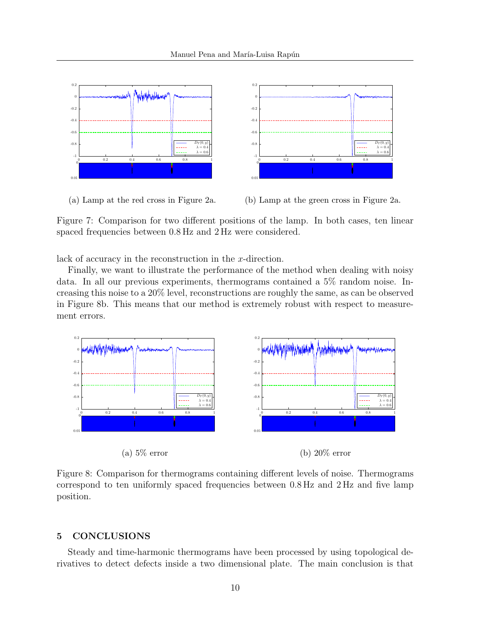

(a) Lamp at the red cross in Figure 2a.



Figure 7: Comparison for two different positions of the lamp. In both cases, ten linear spaced frequencies between 0.8 Hz and 2 Hz were considered.

lack of accuracy in the reconstruction in the x-direction.

Finally, we want to illustrate the performance of the method when dealing with noisy data. In all our previous experiments, thermograms contained a 5% random noise. Increasing this noise to a 20% level, reconstructions are roughly the same, as can be observed in Figure 8b. This means that our method is extremely robust with respect to measurement errors.



Figure 8: Comparison for thermograms containing different levels of noise. Thermograms correspond to ten uniformly spaced frequencies between 0.8 Hz and 2 Hz and five lamp position.

## 5 CONCLUSIONS

Steady and time-harmonic thermograms have been processed by using topological derivatives to detect defects inside a two dimensional plate. The main conclusion is that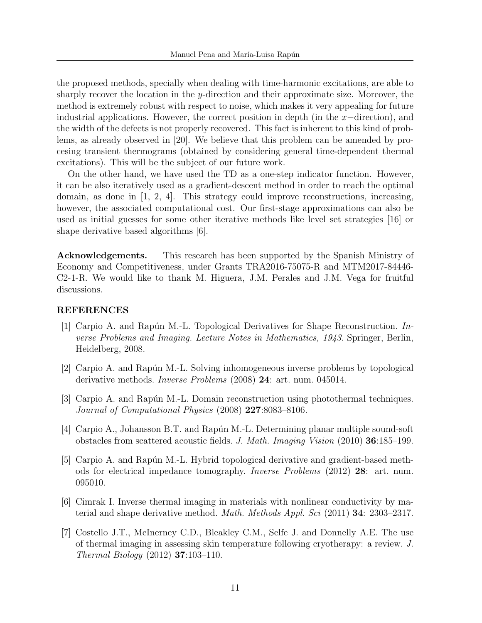the proposed methods, specially when dealing with time-harmonic excitations, are able to sharply recover the location in the y-direction and their approximate size. Moreover, the method is extremely robust with respect to noise, which makes it very appealing for future industrial applications. However, the correct position in depth (in the  $x$ –direction), and the width of the defects is not properly recovered. This fact is inherent to this kind of problems, as already observed in [20]. We believe that this problem can be amended by procesing transient thermograms (obtained by considering general time-dependent thermal excitations). This will be the subject of our future work.

On the other hand, we have used the TD as a one-step indicator function. However, it can be also iteratively used as a gradient-descent method in order to reach the optimal domain, as done in  $\begin{bmatrix} 1, 2, 4 \end{bmatrix}$ . This strategy could improve reconstructions, increasing, however, the associated computational cost. Our first-stage approximations can also be used as initial guesses for some other iterative methods like level set strategies [16] or shape derivative based algorithms [6].

Acknowledgements. This research has been supported by the Spanish Ministry of Economy and Competitiveness, under Grants TRA2016-75075-R and MTM2017-84446- C2-1-R. We would like to thank M. Higuera, J.M. Perales and J.M. Vega for fruitful discussions.

## REFERENCES

- [1] Carpio A. and Rapún M.-L. Topological Derivatives for Shape Reconstruction. Inverse Problems and Imaging. Lecture Notes in Mathematics, 1943. Springer, Berlin, Heidelberg, 2008.
- [2] Carpio A. and Rapún M.-L. Solving inhomogeneous inverse problems by topological derivative methods. Inverse Problems (2008) 24: art. num. 045014.
- [3] Carpio A. and Rapún M.-L. Domain reconstruction using photothermal techniques. Journal of Computational Physics (2008) 227:8083–8106.
- [4] Carpio A., Johansson B.T. and Rapún M.-L. Determining planar multiple sound-soft obstacles from scattered acoustic fields. J. Math. Imaging Vision (2010) 36:185–199.
- [5] Carpio A. and Rapún M.-L. Hybrid topological derivative and gradient-based methods for electrical impedance tomography. Inverse Problems (2012) 28: art. num. 095010.
- [6] Cimrak I. Inverse thermal imaging in materials with nonlinear conductivity by material and shape derivative method. Math. Methods Appl. Sci (2011) 34: 2303–2317.
- [7] Costello J.T., McInerney C.D., Bleakley C.M., Selfe J. and Donnelly A.E. The use of thermal imaging in assessing skin temperature following cryotherapy: a review. J. Thermal Biology (2012) 37:103–110.